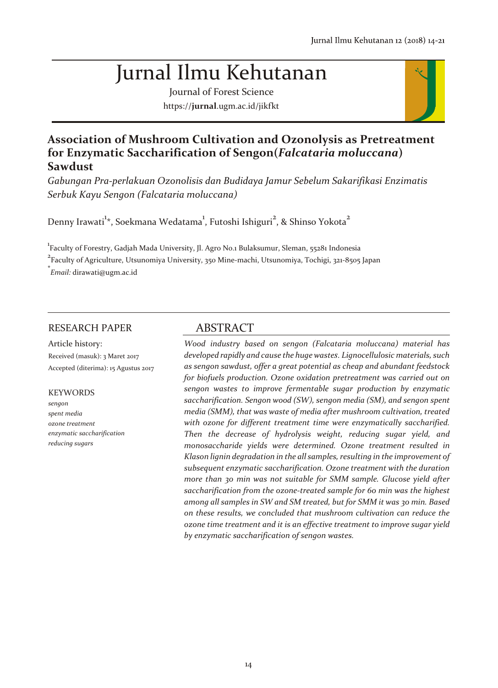# Jurnal Ilmu Kehutanan

Journal of Forest Science https://**jurnal**.ugm.ac.id/jikfkt



# **Association of Mushroom Cultivation and Ozonolysis as Pretreatment for Enzymatic Saccharification of Sengon(***Falcataria moluccana***) Sawdust**

*Gabungan Pra-perlakuan Ozonolisis dan Budidaya Jamur Sebelum Sakarifikasi Enzimatis Serbuk Kayu Sengon (Falcataria moluccana)*

Denny Irawati $^{\rm 1*}$ , Soekmana Wedatama $^{\rm 1}$ , Futoshi Ishiguri $^{\rm 2}$ , & Shinso Yokota $^{\rm 2}$ 

<u>.</u><br>Faculty of Forestry, Gadjah Mada University, Jl. Agro No.1 Bulaksumur, Sleman, 55281 Indonesia

<sup>2</sup> Faculty of Agriculture, Utsunomiya University, 350 Mine-machi, Utsunomiya, Tochigi, 321-8505 Japan

**\*** *Email:* dirawati@ugm.ac.id

# RESEARCH PAPER

Article history: Received (masuk): 3 Maret 2017 Accepted (diterima): 15 Agustus 2017

#### KEYWORDS

*sengon spent media ozone treatment enzymatic saccharification reducing sugars*

# ABSTRACT

*Wood industry based on sengon (Falcataria moluccana) material has developed rapidly and cause the huge wastes. Lignocellulosic materials, such as sengon sawdust, offer a great potential as cheap and abundant feedstock for biofuels production. Ozone oxidation pretreatment was carried out on sengon wastes to improve fermentable sugar production by enzymatic saccharification. Sengon wood (SW), sengon media (SM), and sengon spent media (SMM), that was waste of media after mushroom cultivation, treated with ozone for different treatment time were enzymatically saccharified. Then the decrease of hydrolysis weight, reducing sugar yield, and monosaccharide yields were determined. Ozone treatment resulted in Klason lignin degradation in the all samples, resulting in the improvement of subsequent enzymatic saccharification. Ozone treatment with the duration more than 30 min was not suitable for SMM sample. Glucose yield after saccharification from the ozone-treated sample for 60 min was the highest among all samples in SW and SM treated, but for SMM it was 30 min. Based on these results, we concluded that mushroom cultivation can reduce the ozone time treatment and it is an effective treatment to improve sugar yield by enzymatic saccharification of sengon wastes.*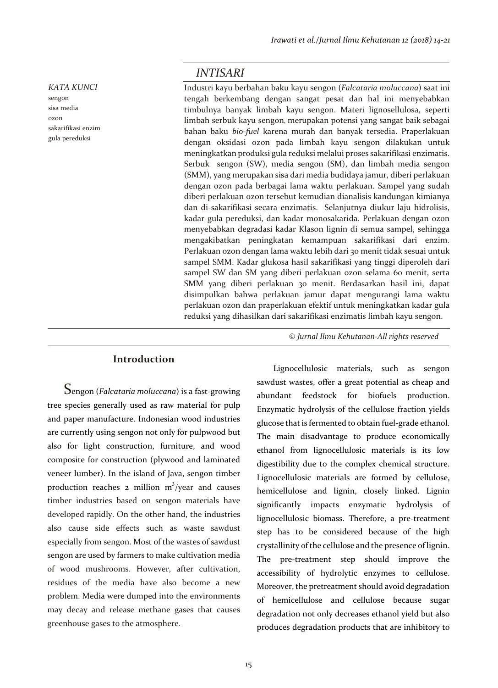#### *KATA KUNCI*

sengon sisa media ozon sakarifikasi enzim gula pereduksi

# *INTISARI*

Industri kayu berbahan baku kayu sengon (*Falcataria moluccana*) saat ini tengah berkembang dengan sangat pesat dan hal ini menyebabkan timbulnya banyak limbah kayu sengon. Materi lignosellulosa, seperti limbah serbuk kayu sengon, merupakan potensi yang sangat baik sebagai bahan baku *bio-fuel* karena murah dan banyak tersedia. Praperlakuan dengan oksidasi ozon pada limbah kayu sengon dilakukan untuk meningkatkan produksi gula reduksi melalui proses sakarifikasi enzimatis. Serbuk sengon (SW), media sengon (SM), dan limbah media sengon (SMM), yang merupakan sisa dari media budidaya jamur, diberi perlakuan dengan ozon pada berbagai lama waktu perlakuan. Sampel yang sudah diberi perlakuan ozon tersebut kemudian dianalisis kandungan kimianya dan di-sakarifikasi secara enzimatis. Selanjutnya diukur laju hidrolisis, kadar gula pereduksi, dan kadar monosakarida. Perlakuan dengan ozon menyebabkan degradasi kadar Klason lignin di semua sampel, sehingga mengakibatkan peningkatan kemampuan sakarifikasi dari enzim. Perlakuan ozon dengan lama waktu lebih dari 30 menit tidak sesuai untuk sampel SMM. Kadar glukosa hasil sakarifikasi yang tinggi diperoleh dari sampel SW dan SM yang diberi perlakuan ozon selama 60 menit, serta SMM yang diberi perlakuan 30 menit. Berdasarkan hasil ini, dapat disimpulkan bahwa perlakuan jamur dapat mengurangi lama waktu perlakuan ozon dan praperlakuan efektif untuk meningkatkan kadar gula reduksi yang dihasilkan dari sakarifikasi enzimatis limbah kayu sengon.

**Introduction**

Sengon (*Falcataria moluccana*) is a fast-growing tree species generally used as raw material for pulp and paper manufacture. Indonesian wood industries are currently using sengon not only for pulpwood but also for light construction, furniture, and wood composite for construction (plywood and laminated veneer lumber). In the island of Java, sengon timber production reaches 2 million  $m^3$ /year and causes timber industries based on sengon materials have developed rapidly. On the other hand, the industries also cause side effects such as waste sawdust especially from sengon. Most of the wastes of sawdust sengon are used by farmers to make cultivation media of wood mushrooms. However, after cultivation, residues of the media have also become a new problem. Media were dumped into the environments may decay and release methane gases that causes greenhouse gases to the atmosphere.

© *Jurnal Ilmu Kehutanan-All rights reserved*

Lignocellulosic materials, such as sengon sawdust wastes, offer a great potential as cheap and abundant feedstock for biofuels production. Enzymatic hydrolysis of the cellulose fraction yields glucose that is fermented to obtain fuel-grade ethanol. The main disadvantage to produce economically ethanol from lignocellulosic materials is its low digestibility due to the complex chemical structure. Lignocellulosic materials are formed by cellulose, hemicellulose and lignin, closely linked. Lignin significantly impacts enzymatic hydrolysis of lignocellulosic biomass. Therefore, a pre-treatment step has to be considered because of the high crystallinity of the cellulose and the presence of lignin. The pre-treatment step should improve the accessibility of hydrolytic enzymes to cellulose. Moreover, the pretreatment should avoid degradation of hemicellulose and cellulose because sugar degradation not only decreases ethanol yield but also produces degradation products that are inhibitory to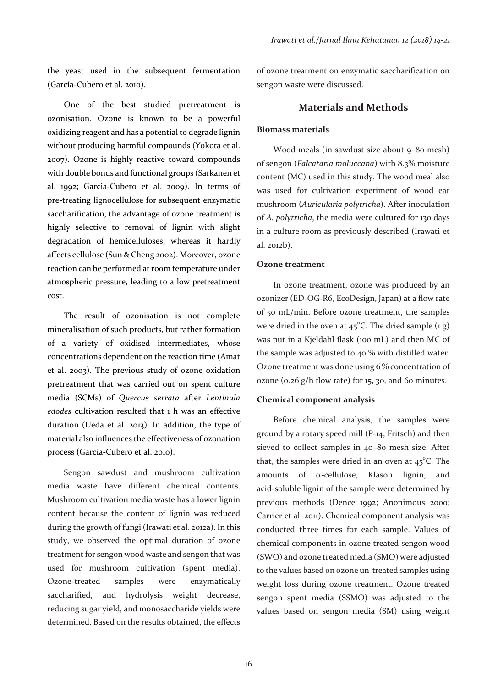the yeast used in the subsequent fermentation (García-Cubero et al. 2010).

One of the best studied pretreatment is ozonisation. Ozone is known to be a powerful oxidizing reagent and has a potential to degrade lignin without producing harmful compounds (Yokota et al. 2007). Ozone is highly reactive toward compounds with double bonds and functional groups (Sarkanen et al. 1992; Garcia-Cubero et al. 2009). In terms of pre-treating lignocellulose for subsequent enzymatic saccharification, the advantage of ozone treatment is highly selective to removal of lignin with slight degradation of hemicelluloses, whereas it hardly affects cellulose (Sun & Cheng 2002). Moreover, ozone reaction can be performed at room temperature under atmospheric pressure, leading to a low pretreatment cost.

The result of ozonisation is not complete mineralisation of such products, but rather formation of a variety of oxidised intermediates, whose concentrations dependent on the reaction time (Amat et al. 2003). The previous study of ozone oxidation pretreatment that was carried out on spent culture media (SCMs) of *Quercus serrata* after *Lentinula edodes* cultivation resulted that 1 h was an effective duration (Ueda et al. 2013). In addition, the type of material also influences the effectiveness of ozonation process (García-Cubero et al. 2010).

Sengon sawdust and mushroom cultivation media waste have different chemical contents. Mushroom cultivation media waste has a lower lignin content because the content of lignin was reduced during the growth of fungi (Irawati et al. 2012a). In this study, we observed the optimal duration of ozone treatment for sengon wood waste and sengon that was used for mushroom cultivation (spent media). Ozone-treated samples were enzymatically saccharified, and hydrolysis weight decrease, reducing sugar yield, and monosaccharide yields were determined. Based on the results obtained, the effects

of ozone treatment on enzymatic saccharification on sengon waste were discussed.

## **Materials and Methods**

#### **Biomass materials**

Wood meals (in sawdust size about 9–80 mesh) of sengon (*Falcataria moluccana*) with 8.3% moisture content (MC) used in this study. The wood meal also was used for cultivation experiment of wood ear mushroom (*Auricularia polytricha*). After inoculation of *A. polytricha*, the media were cultured for 130 days in a culture room as previously described (Irawati et al. 2012b).

## **Ozone treatment**

In ozone treatment, ozone was produced by an ozonizer (ED-OG-R6, EcoDesign, Japan) at a flow rate of 50 mL/min. Before ozone treatment, the samples were dried in the oven at  $45^{\circ}$ C. The dried sample (1 g) was put in a Kjeldahl flask (100 mL) and then MC of the sample was adjusted to 40 % with distilled water. Ozone treatment was done using 6 % concentration of ozone (0.26  $g/h$  flow rate) for 15, 30, and 60 minutes.

#### **Chemical component analysis**

Before chemical analysis, the samples were ground by a rotary speed mill (P-14, Fritsch) and then sieved to collect samples in 40–80 mesh size. After that, the samples were dried in an oven at  $45^{\circ}$ C. The amounts of -cellulose, Klason lignin, and acid-soluble lignin of the sample were determined by previous methods (Dence 1992; Anonimous 2000; Carrier et al. 2011). Chemical component analysis was conducted three times for each sample. Values of chemical components in ozone treated sengon wood (SWO) and ozone treated media (SMO) were adjusted to the values based on ozone un-treated samples using weight loss during ozone treatment. Ozone treated sengon spent media (SSMO) was adjusted to the values based on sengon media (SM) using weight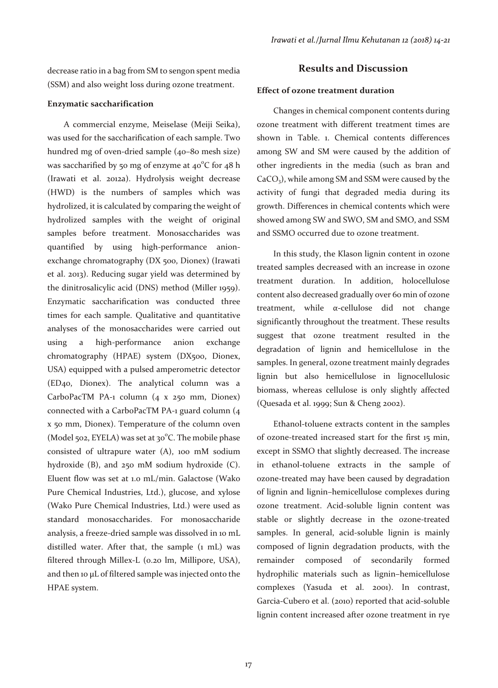decrease ratio in a bag from SM to sengon spent media (SSM) and also weight loss during ozone treatment.

#### **Enzymatic saccharification**

A commercial enzyme, Meiselase (Meiji Seika), was used for the saccharification of each sample. Two hundred mg of oven-dried sample (40–80 mesh size) was saccharified by 50 mg of enzyme at 40 $^{\circ}$ C for 48 h (Irawati et al. 2012a). Hydrolysis weight decrease (HWD) is the numbers of samples which was hydrolized, it is calculated by comparing the weight of hydrolized samples with the weight of original samples before treatment. Monosaccharides was quantified by using high-performance anionexchange chromatography (DX 500, Dionex) (Irawati et al. 2013). Reducing sugar yield was determined by the dinitrosalicylic acid (DNS) method (Miller 1959). Enzymatic saccharification was conducted three times for each sample. Qualitative and quantitative analyses of the monosaccharides were carried out using a high-performance anion exchange chromatography (HPAE) system (DX500, Dionex, USA) equipped with a pulsed amperometric detector (ED40, Dionex). The analytical column was a CarboPacTM PA-1 column (4 x 250 mm, Dionex) connected with a CarboPacTM PA-1 guard column (4 x 50 mm, Dionex). Temperature of the column oven (Model 502, EYELA) was set at 30°C. The mobile phase consisted of ultrapure water (A), 100 mM sodium hydroxide (B), and 250 mM sodium hydroxide (C). Eluent flow was set at 1.0 mL/min. Galactose (Wako Pure Chemical Industries, Ltd.), glucose, and xylose (Wako Pure Chemical Industries, Ltd.) were used as standard monosaccharides. For monosaccharide analysis, a freeze-dried sample was dissolved in 10 mL distilled water. After that, the sample (1 mL) was filtered through Millex-L (0.20 lm, Millipore, USA), and then 10 µL of filtered sample was injected onto the HPAE system.

## **Results and Discussion**

### **Effect of ozone treatment duration**

Changes in chemical component contents during ozone treatment with different treatment times are shown in Table. 1. Chemical contents differences among SW and SM were caused by the addition of other ingredients in the media (such as bran and  $CaCO<sub>3</sub>$ ), while among SM and SSM were caused by the activity of fungi that degraded media during its growth. Differences in chemical contents which were showed among SW and SWO, SM and SMO, and SSM and SSMO occurred due to ozone treatment.

In this study, the Klason lignin content in ozone treated samples decreased with an increase in ozone treatment duration. In addition, holocellulose content also decreased gradually over 60 min of ozone treatment, while  $\alpha$ -cellulose did not change significantly throughout the treatment. These results suggest that ozone treatment resulted in the degradation of lignin and hemicellulose in the samples. In general, ozone treatment mainly degrades lignin but also hemicellulose in lignocellulosic biomass, whereas cellulose is only slightly affected (Quesada et al. 1999; Sun & Cheng 2002).

Ethanol-toluene extracts content in the samples of ozone-treated increased start for the first 15 min, except in SSMO that slightly decreased. The increase in ethanol-toluene extracts in the sample of ozone-treated may have been caused by degradation of lignin and lignin–hemicellulose complexes during ozone treatment. Acid-soluble lignin content was stable or slightly decrease in the ozone-treated samples. In general, acid-soluble lignin is mainly composed of lignin degradation products, with the remainder composed of secondarily formed hydrophilic materials such as lignin–hemicellulose complexes (Yasuda et al. 2001). In contrast, Garcia-Cubero et al. (2010) reported that acid-soluble lignin content increased after ozone treatment in rye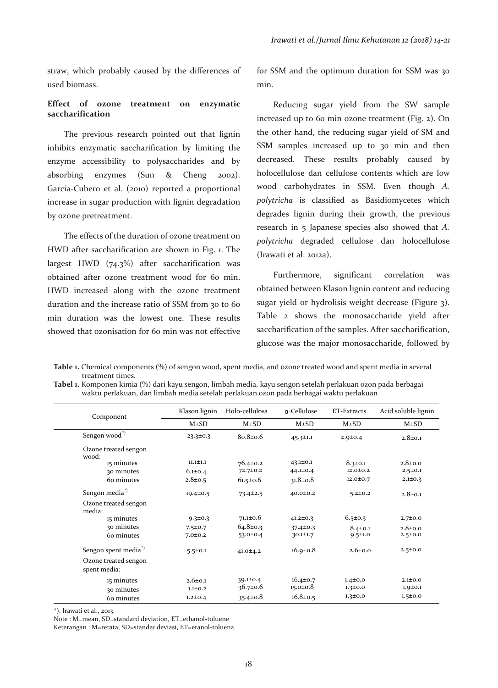straw, which probably caused by the differences of used biomass.

## **Effect of ozone treatment on enzymatic saccharification**

The previous research pointed out that lignin inhibits enzymatic saccharification by limiting the enzyme accessibility to polysaccharides and by absorbing enzymes (Sun & Cheng 2002). Garcia-Cubero et al. (2010) reported a proportional increase in sugar production with lignin degradation by ozone pretreatment.

The effects of the duration of ozone treatment on HWD after saccharification are shown in Fig. 1. The largest HWD (74.3%) after saccharification was obtained after ozone treatment wood for 60 min. HWD increased along with the ozone treatment duration and the increase ratio of SSM from 30 to 60 min duration was the lowest one. These results showed that ozonisation for 60 min was not effective

for SSM and the optimum duration for SSM was 30 min.

Reducing sugar yield from the SW sample increased up to 60 min ozone treatment (Fig. 2). On the other hand, the reducing sugar yield of SM and SSM samples increased up to 30 min and then decreased. These results probably caused by holocellulose dan cellulose contents which are low wood carbohydrates in SSM. Even though *A. polytricha* is classified as Basidiomycetes which degrades lignin during their growth, the previous research in 5 Japanese species also showed that *A. polytricha* degraded cellulose dan holocellulose (Irawati et al. 2012a).

Furthermore, significant correlation was obtained between Klason lignin content and reducing sugar yield or hydrolisis weight decrease (Figure 3). Table 2 shows the monosaccharide yield after saccharification of the samples. After saccharification, glucose was the major monosaccharide, followed by

**Table 1.** Chemical components (%) of sengon wood, spent media, and ozone treated wood and spent media in several treatment times.

**Tabel 1.** Komponen kimia (%) dari kayu sengon, limbah media, kayu sengon setelah perlakuan ozon pada berbagai waktu perlakuan, dan limbah media setelah perlakuan ozon pada berbagai waktu perlakuan

|                                      |                                |                                  | α-Cellulose                      |                                |                                |
|--------------------------------------|--------------------------------|----------------------------------|----------------------------------|--------------------------------|--------------------------------|
| Component                            | Klason lignin                  | Holo-cellulosa                   |                                  | ET-Extracts                    | Acid soluble lignin            |
|                                      | $M\pm SD$                      | $M\pm SD$                        | $M\pm SD$                        | $M\pm SD$                      | $M\pm SD$                      |
| Sengon wood <sup>*)</sup>            | 23.3±0.3                       | $80.8 \pm 0.6$                   | $45.3 \pm 1.1$                   | $2.9 \pm 0.4$                  | $2.8 \pm 0.1$                  |
| Ozone treated sengon<br>wood:        |                                |                                  |                                  |                                |                                |
| 15 minutes                           | $11.1 \pm 1.1$                 | $76.4 \pm 0.2$                   | $43.1 \pm 0.1$                   | $8.3 \pm 0.1$                  | $2.8 \pm 0.0$                  |
| 30 minutes                           | $6.1 \pm 0.4$                  | 72.7±0.2                         | $44.1 \pm 0.4$                   | $12.0 \pm 0.2$                 | $2.5 \pm 0.1$                  |
| 60 minutes                           | $2.8 \pm 0.5$                  | $61.5 \pm 0.6$                   | $31.8 \pm 0.8$                   | 12.0±0.7                       | $2.1 \pm 0.3$                  |
| Sengon media <sup>*</sup>            | $19.4 \pm 0.5$                 | $73.4 \pm 2.5$                   | $40.0 \pm 0.2$                   | $5.2 \pm 0.2$                  | $2.8 \pm 0.1$                  |
| Ozone treated sengon<br>media:       |                                |                                  |                                  |                                |                                |
| 15 minutes                           | $9.3 \pm 0.3$                  | $71.1 \pm 0.6$                   | $41.2 \pm 0.3$                   | $6.5 \pm 0.3$                  | $2.7 \pm 0.0$                  |
| 30 minutes<br>60 minutes             | $7.5 \pm 0.7$<br>$7.0 \pm 0.2$ | $64.8 \pm 0.3$<br>$53.0 \pm 0.4$ | $37.4 \pm 0.3$<br>$30.1 \pm 1.7$ | $8.4 \pm 0.1$<br>$9.5 \pm 1.0$ | $2.8 \pm 0.0$<br>$2.5 \pm 0.0$ |
| Sengon spent media <sup>"</sup>      | $5.5 \pm 0.1$                  | $41.0 \pm 4.2$                   | $16.9 \pm 0.8$                   | $2.6 \pm 0.0$                  | $2.5 \pm 0.0$                  |
| Ozone treated sengon<br>spent media: |                                |                                  |                                  |                                |                                |
| 15 minutes                           | $2.6 \pm 0.1$                  | $39.1 \pm 0.4$                   | $16.4 \pm 0.7$                   | $1.4 \pm 0.0$                  | $2.1 \pm 0.0$                  |
| 30 minutes                           | $1.1 \pm 0.2$                  | $36.7 \pm 0.6$                   | $15.0 \pm 0.8$                   | $1.3 \pm 0.0$                  | $1.9 \pm 0.1$                  |
| 60 minutes                           | $1.2 \pm 0.4$                  | $35.4 \pm 0.8$                   | $16.8 \pm 0.5$                   | $1.3 \pm 0.0$                  | 1.5 ± 0.0                      |

\*). Irawati et al., 2013.

Note : M=mean, SD=standard deviation, ET=ethanol-toluene

Keterangan : M=rerata, SD=standar deviasi, ET=etanol-toluena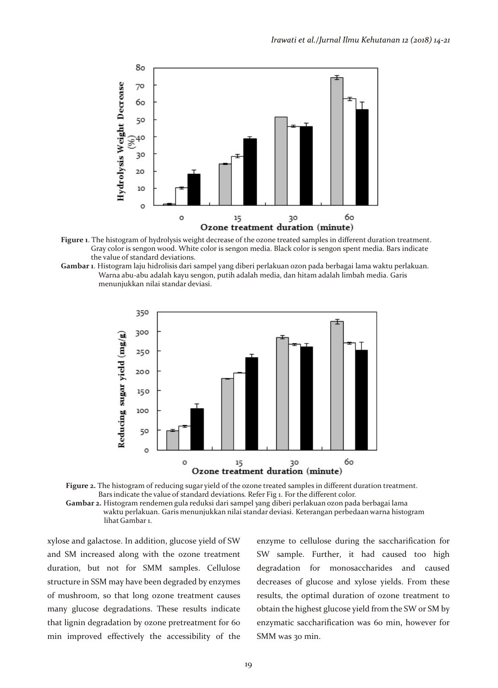

**Figure 1**. The histogram of hydrolysis weight decrease of the ozone treated samples in different duration treatment. Gray color is sengon wood. White color is sengon media. Black color is sengon spent media. Bars indicate the value of standard deviations.





**Figure 2.** The histogram of reducing sugar yield of the ozone treated samples in different duration treatment. Bars indicate the value of standard deviations. Refer Fig 1. For the different color. **Gambar 2.** Histogram rendemen gula reduksi dari sampel yang diberi perlakuan ozon pada berbagai lama waktu perlakuan. Garis menunjukkan nilai standar deviasi. Keterangan perbedaan warna histogram lihat Gambar 1.

xylose and galactose. In addition, glucose yield of SW and SM increased along with the ozone treatment duration, but not for SMM samples. Cellulose structure in SSM may have been degraded by enzymes of mushroom, so that long ozone treatment causes many glucose degradations. These results indicate that lignin degradation by ozone pretreatment for 60 min improved effectively the accessibility of the

enzyme to cellulose during the saccharification for SW sample. Further, it had caused too high degradation for monosaccharides and caused decreases of glucose and xylose yields. From these results, the optimal duration of ozone treatment to obtain the highest glucose yield from the SW or SM by enzymatic saccharification was 60 min, however for SMM was 30 min.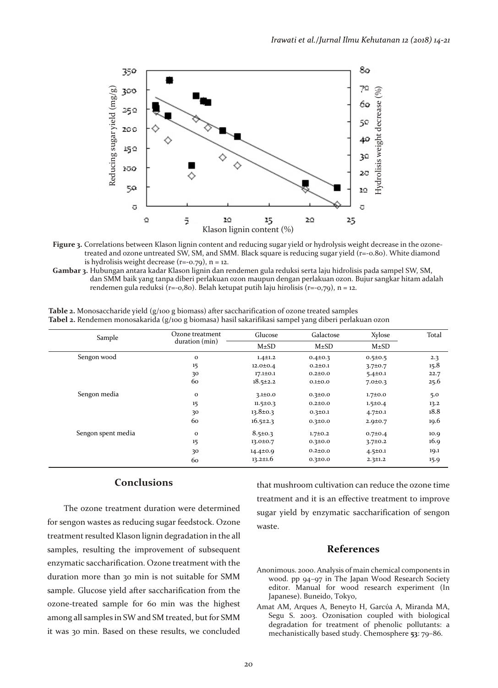

- **Figure 3.** Correlations between Klason lignin content and reducing sugar yield or hydrolysis weight decrease in the ozone treated and ozone untreated SW, SM, and SMM. Black square is reducing sugar yield (r=-0.80). White diamond is hydrolisis weight decrease  $(r=-0.79)$ ,  $n = 12$ .
- **Gambar 3.** Hubungan antara kadar Klason lignin dan rendemen gula reduksi serta laju hidrolisis pada sampel SW, SM, dan SMM baik yang tanpa diberi perlakuan ozon maupun dengan perlakuan ozon. Bujur sangkar hitam adalah rendemen gula reduksi ( $r=-0.80$ ). Belah ketupat putih laju hirolisis ( $r=-0.79$ ), n = 12.

| Sample             | Ozone treatment<br>duration (min) | Glucose        | Galactose     | Xylose        | Total |
|--------------------|-----------------------------------|----------------|---------------|---------------|-------|
|                    |                                   | $M\pm SD$      | $M\pm SD$     | $M\pm SD$     |       |
| Sengon wood        | $\mathbf 0$                       | $1.4 \pm 1.2$  | $0.4 \pm 0.3$ | $0.5 \pm 0.5$ | 2.3   |
|                    | 15                                | $12.0 \pm 0.4$ | $0.2 \pm 0.1$ | $3.7 \pm 0.7$ | 15.8  |
|                    | 30                                | $17.1 \pm 0.1$ | $0.2{\pm}0.0$ | $5.4 \pm 0.1$ | 22.7  |
|                    | 60                                | $18.5 \pm 2.2$ | 0.110.0       | $7.0 \pm 0.3$ | 25.6  |
| Sengon media       | $\mathbf{o}$                      | $3.1 \pm 0.0$  | $0.3 \pm 0.0$ | $1.7 \pm 0.0$ | 5.0   |
|                    | 15                                | $11.5 \pm 0.3$ | $0.2{\pm}0.0$ | $1.5 \pm 0.4$ | 13.2  |
|                    | 30                                | $13.8 \pm 0.3$ | $0.3 \pm 0.1$ | $4.7 \pm 0.1$ | 18.8  |
|                    | 60                                | $16.5 \pm 2.3$ | $0.3 \pm 0.0$ | $2.9 \pm 0.7$ | 19.6  |
| Sengon spent media | $\mathbf{o}$                      | $8.5 \pm 0.3$  | $1.7 \pm 0.2$ | $0.7 \pm 0.4$ | 10.9  |
|                    | 15                                | 13.0±0.7       | $0.3 \pm 0.0$ | $3.7 \pm 0.2$ | 16.9  |
|                    | 30                                | $14.4 \pm 0.9$ | $0.2{\pm}0.0$ | $4.5 \pm 0.1$ | 19.1  |
|                    | 60                                | $13.2 \pm 1.6$ | $0.3 \pm 0.0$ | $2.3 \pm 1.2$ | 15.9  |

**Table 2.** Monosaccharide yield (g/100 g biomass) after saccharification of ozone treated samples **Tabel 2.** Rendemen monosakarida (g/100 g biomasa) hasil sakarifikasi sampel yang diberi perlakuan ozon

# **Conclusions**

The ozone treatment duration were determined for sengon wastes as reducing sugar feedstock. Ozone treatment resulted Klason lignin degradation in the all samples, resulting the improvement of subsequent enzymatic saccharification. Ozone treatment with the duration more than 30 min is not suitable for SMM sample. Glucose yield after saccharification from the ozone-treated sample for 60 min was the highest among all samples in SW and SM treated, but for SMM it was 30 min. Based on these results, we concluded

that mushroom cultivation can reduce the ozone time treatment and it is an effective treatment to improve sugar yield by enzymatic saccharification of sengon waste.

## **References**

- Anonimous. 2000. Analysis of main chemical components in wood. pp 94–97 in The Japan Wood Research Society editor. Manual for wood research experiment (In Japanese). Buneido, Tokyo,
- Amat AM, Arques A, Beneyto H, Garcýa A, Miranda MA, Segu S. 2003. Ozonisation coupled with biological degradation for treatment of phenolic pollutants: a mechanistically based study. Chemosphere **53**: 79–86.